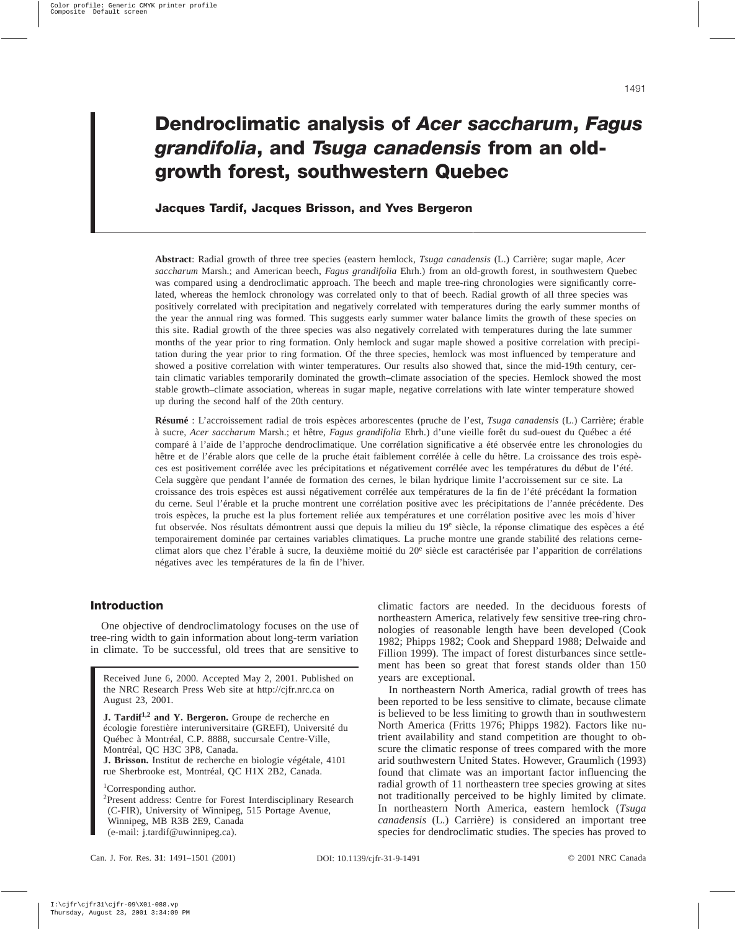# **Dendroclimatic analysis of** *Acer saccharum***,** *Fagus grandifolia***, and** *Tsuga canadensis* **from an oldgrowth forest, southwestern Quebec**

**Jacques Tardif, Jacques Brisson, and Yves Bergeron**

**Abstract**: Radial growth of three tree species (eastern hemlock, *Tsuga canadensis* (L.) Carrière; sugar maple, *Acer saccharum* Marsh.; and American beech, *Fagus grandifolia* Ehrh.) from an old-growth forest, in southwestern Quebec was compared using a dendroclimatic approach. The beech and maple tree-ring chronologies were significantly correlated, whereas the hemlock chronology was correlated only to that of beech. Radial growth of all three species was positively correlated with precipitation and negatively correlated with temperatures during the early summer months of the year the annual ring was formed. This suggests early summer water balance limits the growth of these species on this site. Radial growth of the three species was also negatively correlated with temperatures during the late summer months of the year prior to ring formation. Only hemlock and sugar maple showed a positive correlation with precipitation during the year prior to ring formation. Of the three species, hemlock was most influenced by temperature and showed a positive correlation with winter temperatures. Our results also showed that, since the mid-19th century, certain climatic variables temporarily dominated the growth–climate association of the species. Hemlock showed the most stable growth–climate association, whereas in sugar maple, negative correlations with late winter temperature showed up during the second half of the 20th century.

**Résumé** : L'accroissement radial de trois espèces arborescentes (pruche de l'est, *Tsuga canadensis* (L.) Carrière; érable à sucre, *Acer saccharum* Marsh.; et hêtre, *Fagus grandifolia* Ehrh.) d'une vieille forêt du sud-ouest du Québec a été comparé à l'aide de l'approche dendroclimatique. Une corrélation significative a été observée entre les chronologies du hêtre et de l'érable alors que celle de la pruche était faiblement corrélée à celle du hêtre. La croissance des trois espèces est positivement corrélée avec les précipitations et négativement corrélée avec les températures du début de l'été. Cela suggère que pendant l'année de formation des cernes, le bilan hydrique limite l'accroissement sur ce site. La croissance des trois espèces est aussi négativement corrélée aux températures de la fin de l'été précédant la formation du cerne. Seul l'érable et la pruche montrent une corrélation positive avec les précipitations de l'année précédente. Des trois espèces, la pruche est la plus fortement reliée aux températures et une corrélation positive avec les mois d`hiver fut observée. Nos résultats démontrent aussi que depuis la milieu du 19<sup>e</sup> siècle, la réponse climatique des espèces a été temporairement dominée par certaines variables climatiques. La pruche montre une grande stabilité des relations cerneclimat alors que chez l'érable à sucre, la deuxième moitié du 20<sup>e</sup> siècle est caractérisée par l'apparition de corrélations négatives avec les températures de la fin de l'hiver.

One objective of dendroclimatology focuses on the use of tree-ring width to gain information about long-term variation in climate. To be successful, old trees that are sensitive to

Received June 6, 2000. Accepted May 2, 2001. Published on the NRC Research Press Web site at http://cjfr.nrc.ca on August 23, 2001.

**J. Tardif1,2 and Y. Bergeron.** Groupe de recherche en écologie forestière interuniversitaire (GREFI), Université du Québec à Montréal, C.P. 8888, succursale Centre-Ville, Montréal, QC H3C 3P8, Canada.

**J. Brisson.** Institut de recherche en biologie végétale, 4101 rue Sherbrooke est, Montréal, QC H1X 2B2, Canada.

<sup>1</sup>Corresponding author.

2 Present address: Centre for Forest Interdisciplinary Research (C-FIR), University of Winnipeg, 515 Portage Avenue, Winnipeg, MB R3B 2E9, Canada (e-mail: j.tardif@uwinnipeg.ca).

**Introduction Tardiff et al.** Climatic factors are needed. In the deciduous forests of northeastern America, relatively few sensitive tree-ring chronologies of reasonable length have been developed (Cook 1982; Phipps 1982; Cook and Sheppard 1988; Delwaide and Fillion 1999). The impact of forest disturbances since settlement has been so great that forest stands older than 150 years are exceptional.

> In northeastern North America, radial growth of trees has been reported to be less sensitive to climate, because climate is believed to be less limiting to growth than in southwestern North America (Fritts 1976; Phipps 1982). Factors like nutrient availability and stand competition are thought to obscure the climatic response of trees compared with the more arid southwestern United States. However, Graumlich (1993) found that climate was an important factor influencing the radial growth of 11 northeastern tree species growing at sites not traditionally perceived to be highly limited by climate. In northeastern North America, eastern hemlock (*Tsuga canadensis* (L.) Carrière) is considered an important tree species for dendroclimatic studies. The species has proved to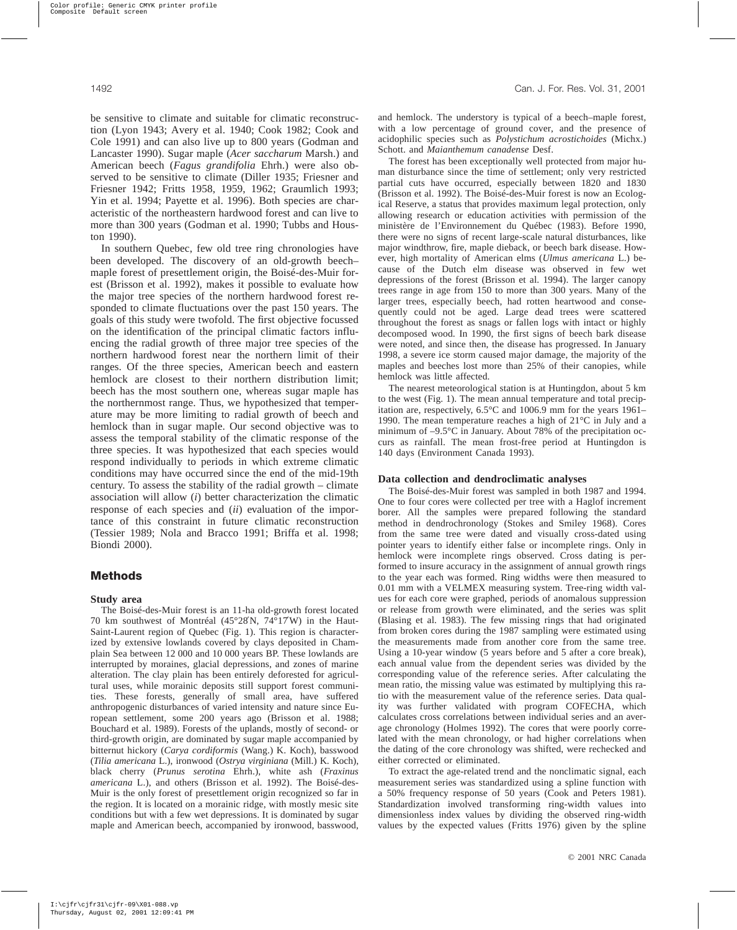be sensitive to climate and suitable for climatic reconstruction (Lyon 1943; Avery et al. 1940; Cook 1982; Cook and Cole 1991) and can also live up to 800 years (Godman and Lancaster 1990). Sugar maple (*Acer saccharum* Marsh.) and American beech (*Fagus grandifolia* Ehrh.) were also observed to be sensitive to climate (Diller 1935; Friesner and Friesner 1942; Fritts 1958, 1959, 1962; Graumlich 1993; Yin et al. 1994; Payette et al. 1996). Both species are characteristic of the northeastern hardwood forest and can live to more than 300 years (Godman et al. 1990; Tubbs and Houston 1990).

In southern Quebec, few old tree ring chronologies have been developed. The discovery of an old-growth beech– maple forest of presettlement origin, the Boisé-des-Muir forest (Brisson et al. 1992), makes it possible to evaluate how the major tree species of the northern hardwood forest responded to climate fluctuations over the past 150 years. The goals of this study were twofold. The first objective focussed on the identification of the principal climatic factors influencing the radial growth of three major tree species of the northern hardwood forest near the northern limit of their ranges. Of the three species, American beech and eastern hemlock are closest to their northern distribution limit; beech has the most southern one, whereas sugar maple has the northernmost range. Thus, we hypothesized that temperature may be more limiting to radial growth of beech and hemlock than in sugar maple. Our second objective was to assess the temporal stability of the climatic response of the three species. It was hypothesized that each species would respond individually to periods in which extreme climatic conditions may have occurred since the end of the mid-19th century. To assess the stability of the radial growth – climate association will allow (*i*) better characterization the climatic response of each species and (*ii*) evaluation of the importance of this constraint in future climatic reconstruction (Tessier 1989; Nola and Bracco 1991; Briffa et al. 1998; Biondi 2000).

# **Methods**

# **Study area**

The Boisé-des-Muir forest is an 11-ha old-growth forest located 70 km southwest of Montréal (45°28′N, 74°17′W) in the Haut-Saint-Laurent region of Quebec (Fig. 1). This region is characterized by extensive lowlands covered by clays deposited in Champlain Sea between 12 000 and 10 000 years BP. These lowlands are interrupted by moraines, glacial depressions, and zones of marine alteration. The clay plain has been entirely deforested for agricultural uses, while morainic deposits still support forest communities. These forests, generally of small area, have suffered anthropogenic disturbances of varied intensity and nature since European settlement, some 200 years ago (Brisson et al. 1988; Bouchard et al. 1989). Forests of the uplands, mostly of second- or third-growth origin, are dominated by sugar maple accompanied by bitternut hickory (*Carya cordiformis* (Wang.) K. Koch), basswood (*Tilia americana* L.), ironwood (*Ostrya virginiana* (Mill.) K. Koch), black cherry (*Prunus serotina* Ehrh.), white ash (*Fraxinus americana* L.), and others (Brisson et al. 1992). The Boisé-des-Muir is the only forest of presettlement origin recognized so far in the region. It is located on a morainic ridge, with mostly mesic site conditions but with a few wet depressions. It is dominated by sugar maple and American beech, accompanied by ironwood, basswood,

and hemlock. The understory is typical of a beech–maple forest, with a low percentage of ground cover, and the presence of acidophilic species such as *Polystichum acrostichoides* (Michx.) Schott. and *Maianthemum canadense* Desf.

The forest has been exceptionally well protected from major human disturbance since the time of settlement; only very restricted partial cuts have occurred, especially between 1820 and 1830 (Brisson et al. 1992). The Boisé-des-Muir forest is now an Ecological Reserve, a status that provides maximum legal protection, only allowing research or education activities with permission of the ministère de l'Environnement du Québec (1983). Before 1990, there were no signs of recent large-scale natural disturbances, like major windthrow, fire, maple dieback, or beech bark disease. However, high mortality of American elms (*Ulmus americana* L.) because of the Dutch elm disease was observed in few wet depressions of the forest (Brisson et al. 1994). The larger canopy trees range in age from 150 to more than 300 years. Many of the larger trees, especially beech, had rotten heartwood and consequently could not be aged. Large dead trees were scattered throughout the forest as snags or fallen logs with intact or highly decomposed wood. In 1990, the first signs of beech bark disease were noted, and since then, the disease has progressed. In January 1998, a severe ice storm caused major damage, the majority of the maples and beeches lost more than 25% of their canopies, while hemlock was little affected.

The nearest meteorological station is at Huntingdon, about 5 km to the west (Fig. 1). The mean annual temperature and total precipitation are, respectively, 6.5°C and 1006.9 mm for the years 1961– 1990. The mean temperature reaches a high of 21°C in July and a minimum of –9.5°C in January. About 78% of the precipitation occurs as rainfall. The mean frost-free period at Huntingdon is 140 days (Environment Canada 1993).

#### **Data collection and dendroclimatic analyses**

The Boisé-des-Muir forest was sampled in both 1987 and 1994. One to four cores were collected per tree with a Haglof increment borer. All the samples were prepared following the standard method in dendrochronology (Stokes and Smiley 1968). Cores from the same tree were dated and visually cross-dated using pointer years to identify either false or incomplete rings. Only in hemlock were incomplete rings observed. Cross dating is performed to insure accuracy in the assignment of annual growth rings to the year each was formed. Ring widths were then measured to 0.01 mm with a VELMEX measuring system. Tree-ring width values for each core were graphed, periods of anomalous suppression or release from growth were eliminated, and the series was split (Blasing et al. 1983). The few missing rings that had originated from broken cores during the 1987 sampling were estimated using the measurements made from another core from the same tree. Using a 10-year window (5 years before and 5 after a core break), each annual value from the dependent series was divided by the corresponding value of the reference series. After calculating the mean ratio, the missing value was estimated by multiplying this ratio with the measurement value of the reference series. Data quality was further validated with program COFECHA, which calculates cross correlations between individual series and an average chronology (Holmes 1992). The cores that were poorly correlated with the mean chronology, or had higher correlations when the dating of the core chronology was shifted, were rechecked and either corrected or eliminated.

To extract the age-related trend and the nonclimatic signal, each measurement series was standardized using a spline function with a 50% frequency response of 50 years (Cook and Peters 1981). Standardization involved transforming ring-width values into dimensionless index values by dividing the observed ring-width values by the expected values (Fritts 1976) given by the spline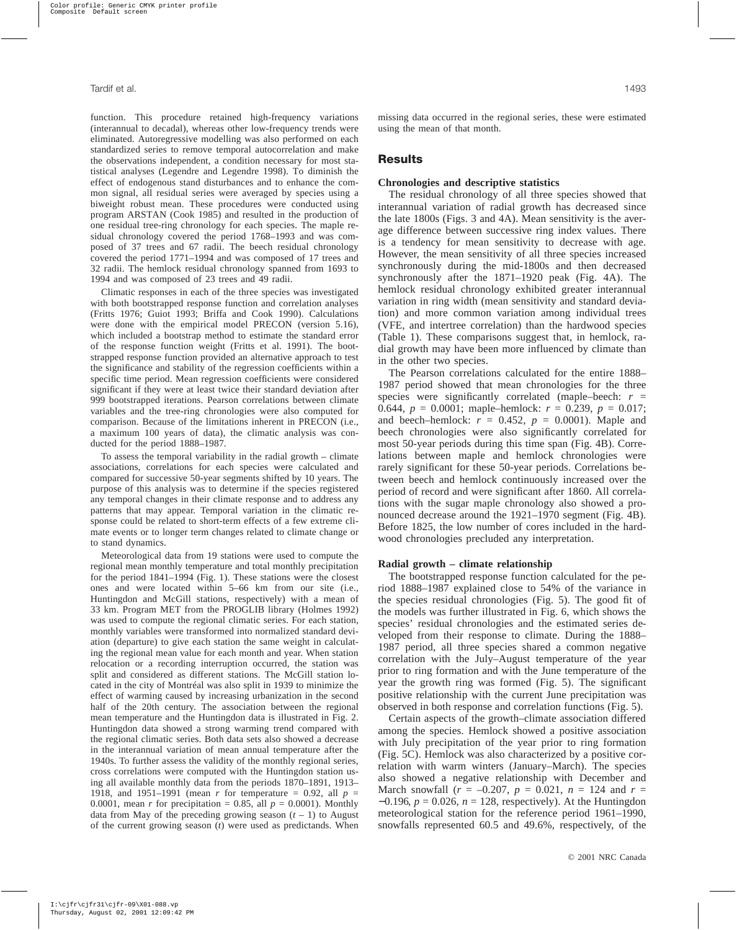function. This procedure retained high-frequency variations (interannual to decadal), whereas other low-frequency trends were eliminated. Autoregressive modelling was also performed on each standardized series to remove temporal autocorrelation and make the observations independent, a condition necessary for most statistical analyses (Legendre and Legendre 1998). To diminish the effect of endogenous stand disturbances and to enhance the common signal, all residual series were averaged by species using a biweight robust mean. These procedures were conducted using program ARSTAN (Cook 1985) and resulted in the production of one residual tree-ring chronology for each species. The maple residual chronology covered the period 1768–1993 and was composed of 37 trees and 67 radii. The beech residual chronology covered the period 1771–1994 and was composed of 17 trees and 32 radii. The hemlock residual chronology spanned from 1693 to 1994 and was composed of 23 trees and 49 radii.

Climatic responses in each of the three species was investigated with both bootstrapped response function and correlation analyses (Fritts 1976; Guiot 1993; Briffa and Cook 1990). Calculations were done with the empirical model PRECON (version 5.16), which included a bootstrap method to estimate the standard error of the response function weight (Fritts et al. 1991). The bootstrapped response function provided an alternative approach to test the significance and stability of the regression coefficients within a specific time period. Mean regression coefficients were considered significant if they were at least twice their standard deviation after 999 bootstrapped iterations. Pearson correlations between climate variables and the tree-ring chronologies were also computed for comparison. Because of the limitations inherent in PRECON (i.e., a maximum 100 years of data), the climatic analysis was conducted for the period 1888–1987.

To assess the temporal variability in the radial growth – climate associations, correlations for each species were calculated and compared for successive 50-year segments shifted by 10 years. The purpose of this analysis was to determine if the species registered any temporal changes in their climate response and to address any patterns that may appear. Temporal variation in the climatic response could be related to short-term effects of a few extreme climate events or to longer term changes related to climate change or to stand dynamics.

Meteorological data from 19 stations were used to compute the regional mean monthly temperature and total monthly precipitation for the period 1841–1994 (Fig. 1). These stations were the closest ones and were located within 5–66 km from our site (i.e., Huntingdon and McGill stations, respectively) with a mean of 33 km. Program MET from the PROGLIB library (Holmes 1992) was used to compute the regional climatic series. For each station, monthly variables were transformed into normalized standard deviation (departure) to give each station the same weight in calculating the regional mean value for each month and year. When station relocation or a recording interruption occurred, the station was split and considered as different stations. The McGill station located in the city of Montréal was also split in 1939 to minimize the effect of warming caused by increasing urbanization in the second half of the 20th century. The association between the regional mean temperature and the Huntingdon data is illustrated in Fig. 2. Huntingdon data showed a strong warming trend compared with the regional climatic series. Both data sets also showed a decrease in the interannual variation of mean annual temperature after the 1940s. To further assess the validity of the monthly regional series, cross correlations were computed with the Huntingdon station using all available monthly data from the periods 1870–1891, 1913– 1918, and 1951–1991 (mean *r* for temperature = 0.92, all  $p =$ 0.0001, mean *r* for precipitation = 0.85, all  $p = 0.0001$ ). Monthly data from May of the preceding growing season  $(t - 1)$  to August of the current growing season (*t*) were used as predictands. When missing data occurred in the regional series, these were estimated using the mean of that month.

# **Results**

#### **Chronologies and descriptive statistics**

The residual chronology of all three species showed that interannual variation of radial growth has decreased since the late 1800s (Figs. 3 and 4A). Mean sensitivity is the average difference between successive ring index values. There is a tendency for mean sensitivity to decrease with age. However, the mean sensitivity of all three species increased synchronously during the mid-1800s and then decreased synchronously after the 1871–1920 peak (Fig. 4A). The hemlock residual chronology exhibited greater interannual variation in ring width (mean sensitivity and standard deviation) and more common variation among individual trees (VFE, and intertree correlation) than the hardwood species (Table 1). These comparisons suggest that, in hemlock, radial growth may have been more influenced by climate than in the other two species.

The Pearson correlations calculated for the entire 1888– 1987 period showed that mean chronologies for the three species were significantly correlated (maple–beech: *r* = 0.644,  $p = 0.0001$ ; maple–hemlock:  $r = 0.239$ ,  $p = 0.017$ ; and beech–hemlock:  $r = 0.452$ ,  $p = 0.0001$ ). Maple and beech chronologies were also significantly correlated for most 50-year periods during this time span (Fig. 4B). Correlations between maple and hemlock chronologies were rarely significant for these 50-year periods. Correlations between beech and hemlock continuously increased over the period of record and were significant after 1860. All correlations with the sugar maple chronology also showed a pronounced decrease around the 1921–1970 segment (Fig. 4B). Before 1825, the low number of cores included in the hardwood chronologies precluded any interpretation.

## **Radial growth – climate relationship**

The bootstrapped response function calculated for the period 1888–1987 explained close to 54% of the variance in the species residual chronologies (Fig. 5). The good fit of the models was further illustrated in Fig. 6, which shows the species' residual chronologies and the estimated series developed from their response to climate. During the 1888– 1987 period, all three species shared a common negative correlation with the July–August temperature of the year prior to ring formation and with the June temperature of the year the growth ring was formed (Fig. 5). The significant positive relationship with the current June precipitation was observed in both response and correlation functions (Fig. 5).

Certain aspects of the growth–climate association differed among the species. Hemlock showed a positive association with July precipitation of the year prior to ring formation (Fig. 5C). Hemlock was also characterized by a positive correlation with warm winters (January–March). The species also showed a negative relationship with December and March snowfall ( $r = -0.207$ ,  $p = 0.021$ ,  $n = 124$  and  $r =$ −0.196, *p* = 0.026, *n* = 128, respectively). At the Huntingdon meteorological station for the reference period 1961–1990, snowfalls represented 60.5 and 49.6%, respectively, of the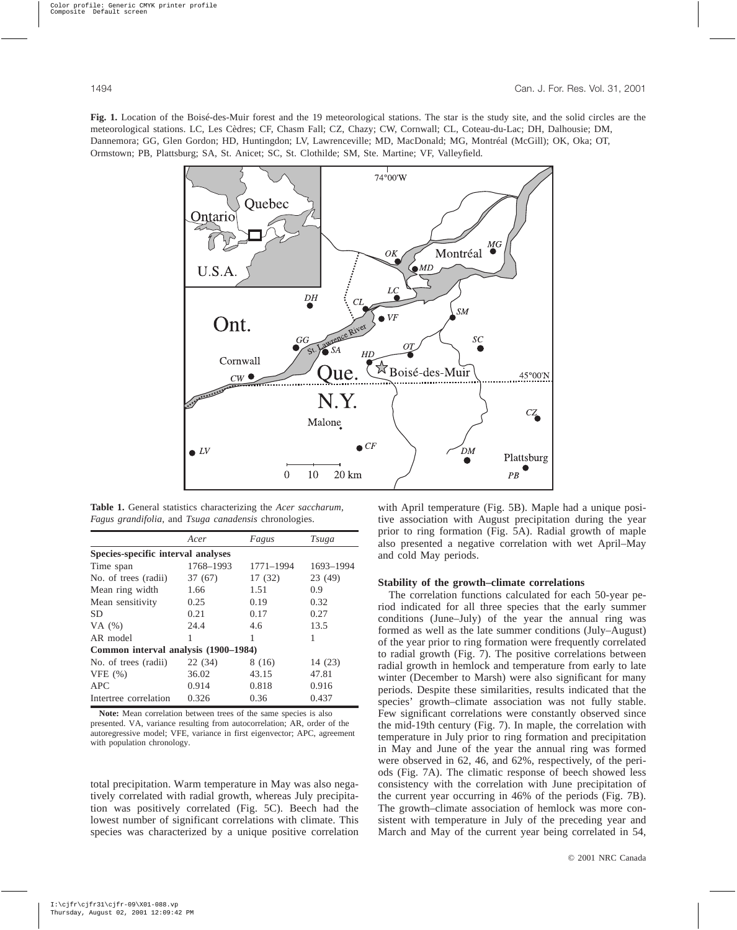**Fig. 1.** Location of the Boisé-des-Muir forest and the 19 meteorological stations. The star is the study site, and the solid circles are the meteorological stations. LC, Les Cèdres; CF, Chasm Fall; CZ, Chazy; CW, Cornwall; CL, Coteau-du-Lac; DH, Dalhousie; DM, Dannemora; GG, Glen Gordon; HD, Huntingdon; LV, Lawrenceville; MD, MacDonald; MG, Montréal (McGill); OK, Oka; OT, Ormstown; PB, Plattsburg; SA, St. Anicet; SC, St. Clothilde; SM, Ste. Martine; VF, Valleyfield.



**Table 1.** General statistics characterizing the *Acer saccharum, Fagus grandifolia*, and *Tsuga canadensis* chronologies.

|                                      | Acer      | Fagus     | Tsuga     |
|--------------------------------------|-----------|-----------|-----------|
| Species-specific interval analyses   |           |           |           |
| Time span                            | 1768-1993 | 1771-1994 | 1693-1994 |
| No. of trees (radii)                 | 37 (67)   | 17 (32)   | 23 (49)   |
| Mean ring width                      | 1.66      | 1.51      | 0.9       |
| Mean sensitivity                     | 0.25      | 0.19      | 0.32      |
| <b>SD</b>                            | 0.21      | 0.17      | 0.27      |
| VA $(%)$                             | 24.4      | 4.6       | 13.5      |
| AR model                             | 1         | 1         | 1         |
| Common interval analysis (1900–1984) |           |           |           |
| No. of trees (radii)                 | 22 (34)   | 8 (16)    | 14 (23)   |
| VFE $(\% )$                          | 36.02     | 43.15     | 47.81     |
| <b>APC</b>                           | 0.914     | 0.818     | 0.916     |
| Intertree correlation                | 0.326     | 0.36      | 0.437     |

**Note:** Mean correlation between trees of the same species is also presented. VA, variance resulting from autocorrelation; AR, order of the autoregressive model; VFE, variance in first eigenvector; APC, agreement with population chronology.

total precipitation. Warm temperature in May was also negatively correlated with radial growth, whereas July precipitation was positively correlated (Fig. 5C). Beech had the lowest number of significant correlations with climate. This species was characterized by a unique positive correlation with April temperature (Fig. 5B). Maple had a unique positive association with August precipitation during the year prior to ring formation (Fig. 5A). Radial growth of maple also presented a negative correlation with wet April–May and cold May periods.

# **Stability of the growth–climate correlations**

The correlation functions calculated for each 50-year period indicated for all three species that the early summer conditions (June–July) of the year the annual ring was formed as well as the late summer conditions (July–August) of the year prior to ring formation were frequently correlated to radial growth (Fig. 7). The positive correlations between radial growth in hemlock and temperature from early to late winter (December to Marsh) were also significant for many periods. Despite these similarities, results indicated that the species' growth–climate association was not fully stable. Few significant correlations were constantly observed since the mid-19th century (Fig. 7). In maple, the correlation with temperature in July prior to ring formation and precipitation in May and June of the year the annual ring was formed were observed in 62, 46, and 62%, respectively, of the periods (Fig. 7A). The climatic response of beech showed less consistency with the correlation with June precipitation of the current year occurring in 46% of the periods (Fig. 7B). The growth–climate association of hemlock was more consistent with temperature in July of the preceding year and March and May of the current year being correlated in 54,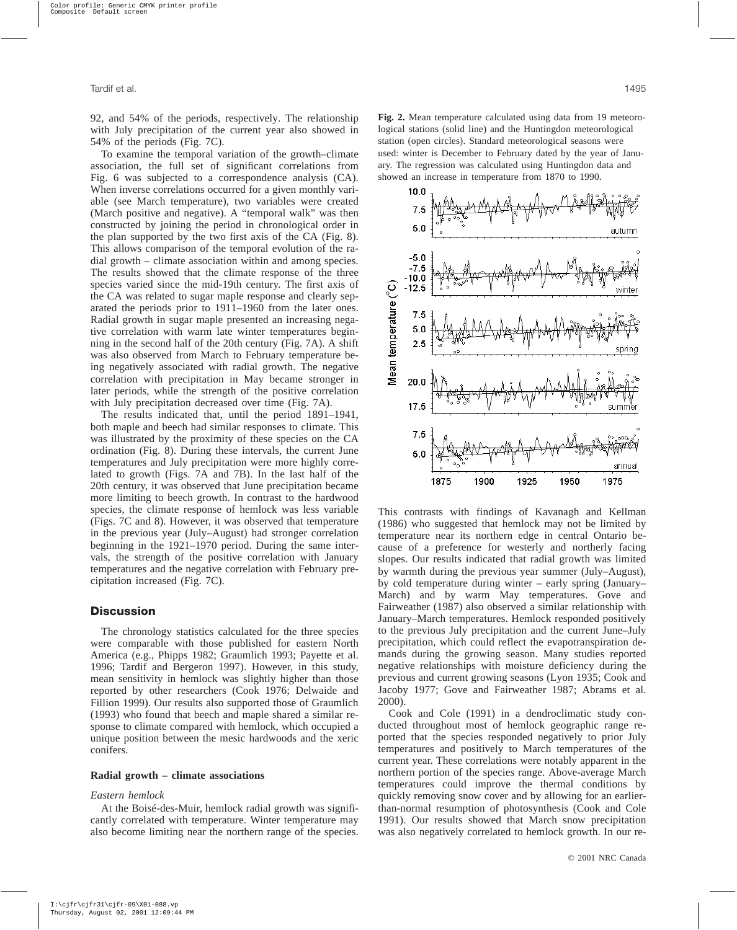92, and 54% of the periods, respectively. The relationship with July precipitation of the current year also showed in 54% of the periods (Fig. 7C).

To examine the temporal variation of the growth–climate association, the full set of significant correlations from Fig. 6 was subjected to a correspondence analysis (CA). When inverse correlations occurred for a given monthly variable (see March temperature), two variables were created (March positive and negative). A "temporal walk" was then constructed by joining the period in chronological order in the plan supported by the two first axis of the CA (Fig. 8). This allows comparison of the temporal evolution of the radial growth – climate association within and among species. The results showed that the climate response of the three species varied since the mid-19th century. The first axis of the CA was related to sugar maple response and clearly separated the periods prior to 1911–1960 from the later ones. Radial growth in sugar maple presented an increasing negative correlation with warm late winter temperatures beginning in the second half of the 20th century (Fig. 7A). A shift was also observed from March to February temperature being negatively associated with radial growth. The negative correlation with precipitation in May became stronger in later periods, while the strength of the positive correlation with July precipitation decreased over time (Fig. 7A).

The results indicated that, until the period 1891–1941, both maple and beech had similar responses to climate. This was illustrated by the proximity of these species on the CA ordination (Fig. 8). During these intervals, the current June temperatures and July precipitation were more highly correlated to growth (Figs. 7A and 7B). In the last half of the 20th century, it was observed that June precipitation became more limiting to beech growth. In contrast to the hardwood species, the climate response of hemlock was less variable (Figs. 7C and 8). However, it was observed that temperature in the previous year (July–August) had stronger correlation beginning in the 1921–1970 period. During the same intervals, the strength of the positive correlation with January temperatures and the negative correlation with February precipitation increased (Fig. 7C).

# **Discussion**

The chronology statistics calculated for the three species were comparable with those published for eastern North America (e.g., Phipps 1982; Graumlich 1993; Payette et al. 1996; Tardif and Bergeron 1997). However, in this study, mean sensitivity in hemlock was slightly higher than those reported by other researchers (Cook 1976; Delwaide and Fillion 1999). Our results also supported those of Graumlich (1993) who found that beech and maple shared a similar response to climate compared with hemlock, which occupied a unique position between the mesic hardwoods and the xeric conifers.

#### **Radial growth – climate associations**

#### *Eastern hemlock*

At the Boisé-des-Muir, hemlock radial growth was significantly correlated with temperature. Winter temperature may also become limiting near the northern range of the species.

**Fig. 2.** Mean temperature calculated using data from 19 meteorological stations (solid line) and the Huntingdon meteorological station (open circles). Standard meteorological seasons were used: winter is December to February dated by the year of January. The regression was calculated using Huntingdon data and showed an increase in temperature from 1870 to 1990.



This contrasts with findings of Kavanagh and Kellman (1986) who suggested that hemlock may not be limited by temperature near its northern edge in central Ontario because of a preference for westerly and northerly facing slopes. Our results indicated that radial growth was limited by warmth during the previous year summer (July–August), by cold temperature during winter – early spring (January– March) and by warm May temperatures. Gove and Fairweather (1987) also observed a similar relationship with January–March temperatures. Hemlock responded positively to the previous July precipitation and the current June–July precipitation, which could reflect the evapotranspiration demands during the growing season. Many studies reported negative relationships with moisture deficiency during the previous and current growing seasons (Lyon 1935; Cook and Jacoby 1977; Gove and Fairweather 1987; Abrams et al. 2000).

Cook and Cole (1991) in a dendroclimatic study conducted throughout most of hemlock geographic range reported that the species responded negatively to prior July temperatures and positively to March temperatures of the current year. These correlations were notably apparent in the northern portion of the species range. Above-average March temperatures could improve the thermal conditions by quickly removing snow cover and by allowing for an earlierthan-normal resumption of photosynthesis (Cook and Cole 1991). Our results showed that March snow precipitation was also negatively correlated to hemlock growth. In our re-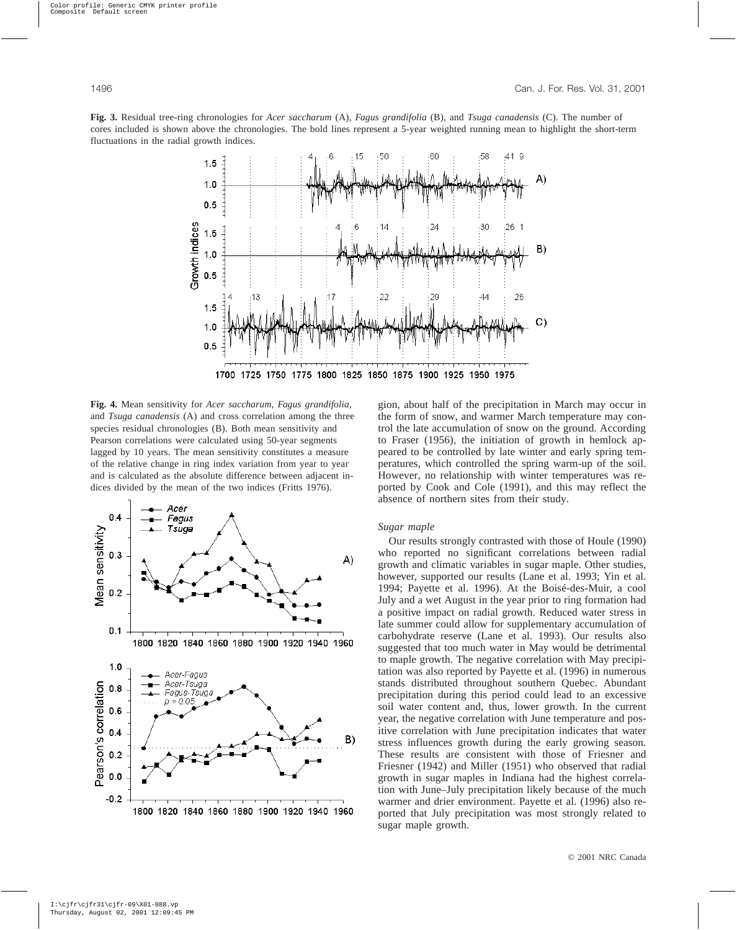**Fig. 3.** Residual tree-ring chronologies for *Acer saccharum* (A), *Fagus grandifolia* (B), and *Tsuga canadensis* (C). The number of cores included is shown above the chronologies. The bold lines represent a 5-year weighted running mean to highlight the short-term fluctuations in the radial growth indices.



**Fig. 4.** Mean sensitivity for *Acer saccharum*, *Fagus grandifolia*, and *Tsuga canadensis* (A) and cross correlation among the three species residual chronologies (B). Both mean sensitivity and Pearson correlations were calculated using 50-year segments lagged by 10 years. The mean sensitivity constitutes a measure of the relative change in ring index variation from year to year and is calculated as the absolute difference between adjacent indices divided by the mean of the two indices (Fritts 1976).



gion, about half of the precipitation in March may occur in the form of snow, and warmer March temperature may control the late accumulation of snow on the ground. According to Fraser (1956), the initiation of growth in hemlock appeared to be controlled by late winter and early spring temperatures, which controlled the spring warm-up of the soil. However, no relationship with winter temperatures was reported by Cook and Cole (1991), and this may reflect the absence of northern sites from their study.

#### *Sugar maple*

Our results strongly contrasted with those of Houle (1990) who reported no significant correlations between radial growth and climatic variables in sugar maple. Other studies, however, supported our results (Lane et al. 1993; Yin et al. 1994; Payette et al. 1996). At the Boisé-des-Muir, a cool July and a wet August in the year prior to ring formation had a positive impact on radial growth. Reduced water stress in late summer could allow for supplementary accumulation of carbohydrate reserve (Lane et al. 1993). Our results also suggested that too much water in May would be detrimental to maple growth. The negative correlation with May precipitation was also reported by Payette et al. (1996) in numerous stands distributed throughout southern Quebec. Abundant precipitation during this period could lead to an excessive soil water content and, thus, lower growth. In the current year, the negative correlation with June temperature and positive correlation with June precipitation indicates that water stress influences growth during the early growing season. These results are consistent with those of Friesner and Friesner (1942) and Miller (1951) who observed that radial growth in sugar maples in Indiana had the highest correlation with June–July precipitation likely because of the much warmer and drier environment. Payette et al. (1996) also reported that July precipitation was most strongly related to sugar maple growth.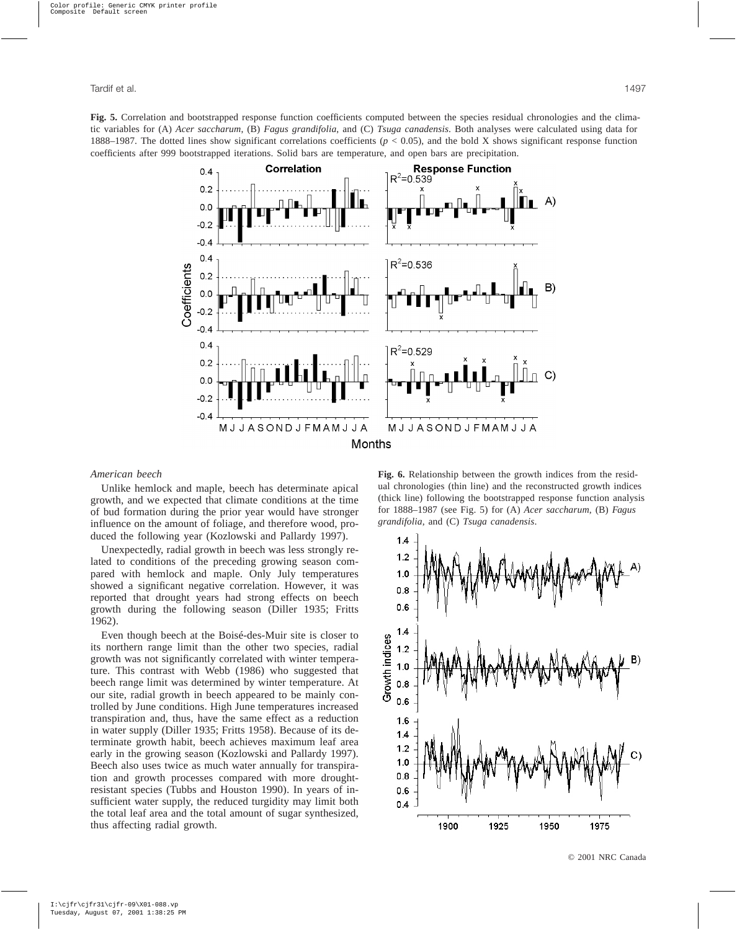**Fig. 5.** Correlation and bootstrapped response function coefficients computed between the species residual chronologies and the climatic variables for (A) *Acer saccharum*, (B) *Fagus grandifolia*, and (C) *Tsuga canadensis*. Both analyses were calculated using data for 1888–1987. The dotted lines show significant correlations coefficients (*p* < 0.05), and the bold X shows significant response function coefficients after 999 bootstrapped iterations. Solid bars are temperature, and open bars are precipitation.



#### *American beech*

Unlike hemlock and maple, beech has determinate apical growth, and we expected that climate conditions at the time of bud formation during the prior year would have stronger influence on the amount of foliage, and therefore wood, produced the following year (Kozlowski and Pallardy 1997).

Unexpectedly, radial growth in beech was less strongly related to conditions of the preceding growing season compared with hemlock and maple. Only July temperatures showed a significant negative correlation. However, it was reported that drought years had strong effects on beech growth during the following season (Diller 1935; Fritts 1962).

Even though beech at the Boisé-des-Muir site is closer to its northern range limit than the other two species, radial growth was not significantly correlated with winter temperature. This contrast with Webb (1986) who suggested that beech range limit was determined by winter temperature. At our site, radial growth in beech appeared to be mainly controlled by June conditions. High June temperatures increased transpiration and, thus, have the same effect as a reduction in water supply (Diller 1935; Fritts 1958). Because of its determinate growth habit, beech achieves maximum leaf area early in the growing season (Kozlowski and Pallardy 1997). Beech also uses twice as much water annually for transpiration and growth processes compared with more droughtresistant species (Tubbs and Houston 1990). In years of insufficient water supply, the reduced turgidity may limit both the total leaf area and the total amount of sugar synthesized, thus affecting radial growth.

**Fig. 6.** Relationship between the growth indices from the residual chronologies (thin line) and the reconstructed growth indices (thick line) following the bootstrapped response function analysis for 1888–1987 (see Fig. 5) for (A) *Acer saccharum*, (B) *Fagus grandifolia*, and (C) *Tsuga canadensis*.

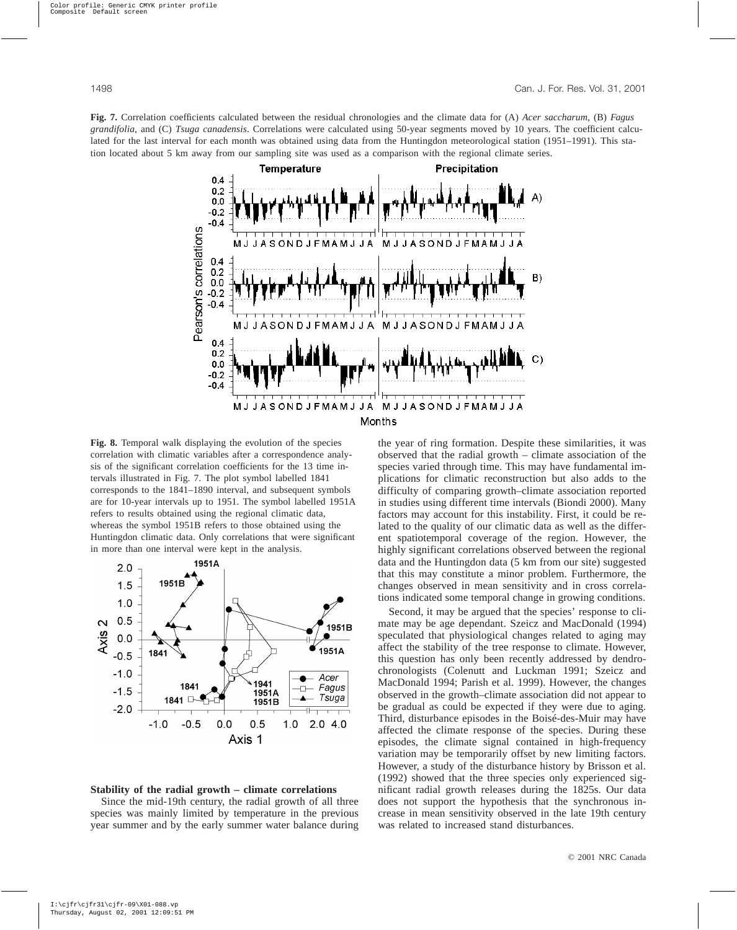**Fig. 7.** Correlation coefficients calculated between the residual chronologies and the climate data for (A) *Acer saccharum*, (B) *Fagus grandifolia*, and (C) *Tsuga canadensis*. Correlations were calculated using 50-year segments moved by 10 years. The coefficient calculated for the last interval for each month was obtained using data from the Huntingdon meteorological station (1951–1991). This station located about 5 km away from our sampling site was used as a comparison with the regional climate series.



**Fig. 8.** Temporal walk displaying the evolution of the species correlation with climatic variables after a correspondence analysis of the significant correlation coefficients for the 13 time intervals illustrated in Fig. 7. The plot symbol labelled 1841 corresponds to the 1841–1890 interval, and subsequent symbols are for 10-year intervals up to 1951. The symbol labelled 1951A refers to results obtained using the regional climatic data, whereas the symbol 1951B refers to those obtained using the Huntingdon climatic data. Only correlations that were significant in more than one interval were kept in the analysis.



## **Stability of the radial growth – climate correlations**

Since the mid-19th century, the radial growth of all three species was mainly limited by temperature in the previous year summer and by the early summer water balance during the year of ring formation. Despite these similarities, it was observed that the radial growth – climate association of the species varied through time. This may have fundamental implications for climatic reconstruction but also adds to the difficulty of comparing growth–climate association reported in studies using different time intervals (Biondi 2000). Many factors may account for this instability. First, it could be related to the quality of our climatic data as well as the different spatiotemporal coverage of the region. However, the highly significant correlations observed between the regional data and the Huntingdon data (5 km from our site) suggested that this may constitute a minor problem. Furthermore, the changes observed in mean sensitivity and in cross correlations indicated some temporal change in growing conditions.

Second, it may be argued that the species' response to climate may be age dependant. Szeicz and MacDonald (1994) speculated that physiological changes related to aging may affect the stability of the tree response to climate. However, this question has only been recently addressed by dendrochronologists (Colenutt and Luckman 1991; Szeicz and MacDonald 1994; Parish et al. 1999). However, the changes observed in the growth–climate association did not appear to be gradual as could be expected if they were due to aging. Third, disturbance episodes in the Boisé-des-Muir may have affected the climate response of the species. During these episodes, the climate signal contained in high-frequency variation may be temporarily offset by new limiting factors. However, a study of the disturbance history by Brisson et al. (1992) showed that the three species only experienced significant radial growth releases during the 1825s. Our data does not support the hypothesis that the synchronous increase in mean sensitivity observed in the late 19th century was related to increased stand disturbances.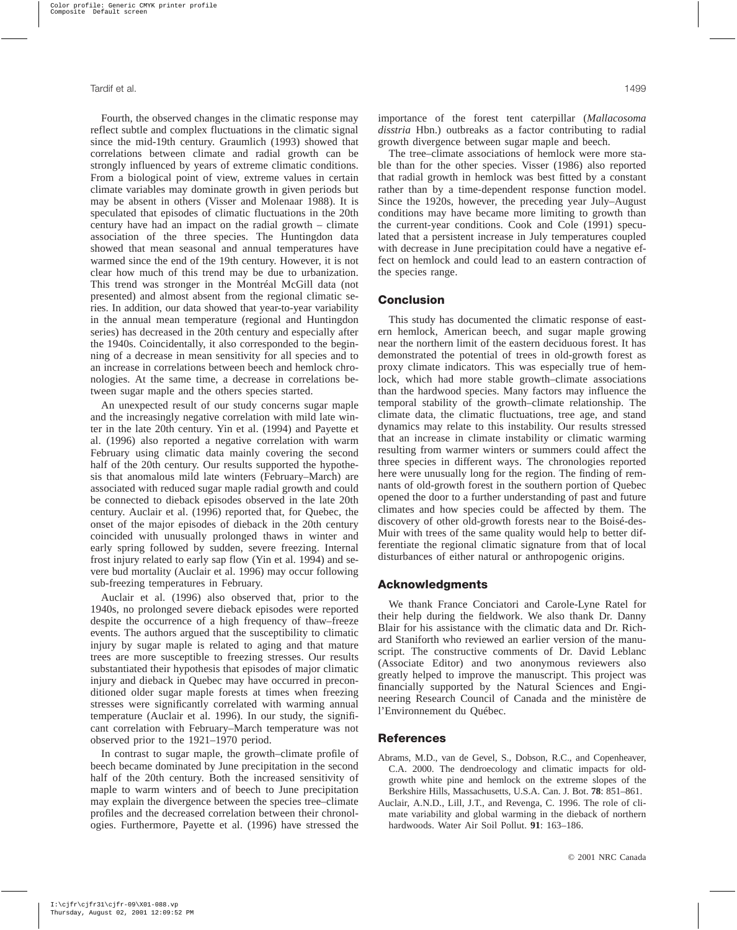Fourth, the observed changes in the climatic response may reflect subtle and complex fluctuations in the climatic signal since the mid-19th century. Graumlich (1993) showed that correlations between climate and radial growth can be strongly influenced by years of extreme climatic conditions. From a biological point of view, extreme values in certain climate variables may dominate growth in given periods but may be absent in others (Visser and Molenaar 1988). It is speculated that episodes of climatic fluctuations in the 20th century have had an impact on the radial growth – climate association of the three species. The Huntingdon data showed that mean seasonal and annual temperatures have warmed since the end of the 19th century. However, it is not clear how much of this trend may be due to urbanization. This trend was stronger in the Montréal McGill data (not presented) and almost absent from the regional climatic series. In addition, our data showed that year-to-year variability in the annual mean temperature (regional and Huntingdon series) has decreased in the 20th century and especially after the 1940s. Coincidentally, it also corresponded to the beginning of a decrease in mean sensitivity for all species and to an increase in correlations between beech and hemlock chronologies. At the same time, a decrease in correlations between sugar maple and the others species started.

An unexpected result of our study concerns sugar maple and the increasingly negative correlation with mild late winter in the late 20th century. Yin et al. (1994) and Payette et al. (1996) also reported a negative correlation with warm February using climatic data mainly covering the second half of the 20th century. Our results supported the hypothesis that anomalous mild late winters (February–March) are associated with reduced sugar maple radial growth and could be connected to dieback episodes observed in the late 20th century. Auclair et al. (1996) reported that, for Quebec, the onset of the major episodes of dieback in the 20th century coincided with unusually prolonged thaws in winter and early spring followed by sudden, severe freezing. Internal frost injury related to early sap flow (Yin et al. 1994) and severe bud mortality (Auclair et al. 1996) may occur following sub-freezing temperatures in February.

Auclair et al. (1996) also observed that, prior to the 1940s, no prolonged severe dieback episodes were reported despite the occurrence of a high frequency of thaw–freeze events. The authors argued that the susceptibility to climatic injury by sugar maple is related to aging and that mature trees are more susceptible to freezing stresses. Our results substantiated their hypothesis that episodes of major climatic injury and dieback in Quebec may have occurred in preconditioned older sugar maple forests at times when freezing stresses were significantly correlated with warming annual temperature (Auclair et al. 1996). In our study, the significant correlation with February–March temperature was not observed prior to the 1921–1970 period.

In contrast to sugar maple, the growth–climate profile of beech became dominated by June precipitation in the second half of the 20th century. Both the increased sensitivity of maple to warm winters and of beech to June precipitation may explain the divergence between the species tree–climate profiles and the decreased correlation between their chronologies. Furthermore, Payette et al. (1996) have stressed the

importance of the forest tent caterpillar (*Mallacosoma disstria* Hbn.) outbreaks as a factor contributing to radial growth divergence between sugar maple and beech.

The tree–climate associations of hemlock were more stable than for the other species. Visser (1986) also reported that radial growth in hemlock was best fitted by a constant rather than by a time-dependent response function model. Since the 1920s, however, the preceding year July–August conditions may have became more limiting to growth than the current-year conditions. Cook and Cole (1991) speculated that a persistent increase in July temperatures coupled with decrease in June precipitation could have a negative effect on hemlock and could lead to an eastern contraction of the species range.

# **Conclusion**

This study has documented the climatic response of eastern hemlock, American beech, and sugar maple growing near the northern limit of the eastern deciduous forest. It has demonstrated the potential of trees in old-growth forest as proxy climate indicators. This was especially true of hemlock, which had more stable growth–climate associations than the hardwood species. Many factors may influence the temporal stability of the growth–climate relationship. The climate data, the climatic fluctuations, tree age, and stand dynamics may relate to this instability. Our results stressed that an increase in climate instability or climatic warming resulting from warmer winters or summers could affect the three species in different ways. The chronologies reported here were unusually long for the region. The finding of remnants of old-growth forest in the southern portion of Quebec opened the door to a further understanding of past and future climates and how species could be affected by them. The discovery of other old-growth forests near to the Boisé-des-Muir with trees of the same quality would help to better differentiate the regional climatic signature from that of local disturbances of either natural or anthropogenic origins.

# **Acknowledgments**

We thank France Conciatori and Carole-Lyne Ratel for their help during the fieldwork. We also thank Dr. Danny Blair for his assistance with the climatic data and Dr. Richard Staniforth who reviewed an earlier version of the manuscript. The constructive comments of Dr. David Leblanc (Associate Editor) and two anonymous reviewers also greatly helped to improve the manuscript. This project was financially supported by the Natural Sciences and Engineering Research Council of Canada and the ministère de l'Environnement du Québec.

# **References**

- Abrams, M.D., van de Gevel, S., Dobson, R.C., and Copenheaver, C.A. 2000. The dendroecology and climatic impacts for oldgrowth white pine and hemlock on the extreme slopes of the Berkshire Hills, Massachusetts, U.S.A. Can. J. Bot. **78**: 851–861.
- Auclair, A.N.D., Lill, J.T., and Revenga, C. 1996. The role of climate variability and global warming in the dieback of northern hardwoods. Water Air Soil Pollut. **91**: 163–186.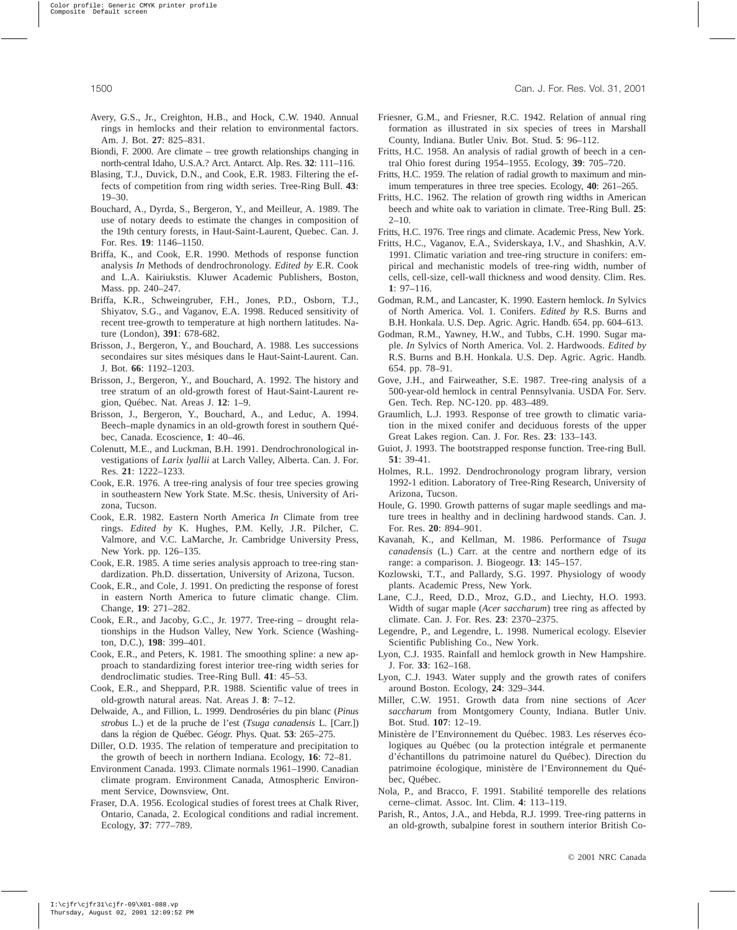- Avery, G.S., Jr., Creighton, H.B., and Hock, C.W. 1940. Annual rings in hemlocks and their relation to environmental factors. Am. J. Bot. **27**: 825–831.
- Biondi, F. 2000. Are climate tree growth relationships changing in north-central Idaho, U.S.A.? Arct. Antarct. Alp. Res. **32**: 111–116.
- Blasing, T.J., Duvick, D.N., and Cook, E.R. 1983. Filtering the effects of competition from ring width series. Tree-Ring Bull. **43**: 19–30.
- Bouchard, A., Dyrda, S., Bergeron, Y., and Meilleur, A. 1989. The use of notary deeds to estimate the changes in composition of the 19th century forests, in Haut-Saint-Laurent, Quebec. Can. J. For. Res. **19**: 1146–1150.
- Briffa, K., and Cook, E.R. 1990. Methods of response function analysis *In* Methods of dendrochronology. *Edited by* E.R. Cook and L.A. Kairiukstis. Kluwer Academic Publishers, Boston, Mass. pp. 240–247.
- Briffa, K.R., Schweingruber, F.H., Jones, P.D., Osborn, T.J., Shiyatov, S.G., and Vaganov, E.A. 1998. Reduced sensitivity of recent tree-growth to temperature at high northern latitudes. Nature (London), **391**: 678-682.
- Brisson, J., Bergeron, Y., and Bouchard, A. 1988. Les successions secondaires sur sites mésiques dans le Haut-Saint-Laurent. Can. J. Bot. **66**: 1192–1203.
- Brisson, J., Bergeron, Y., and Bouchard, A. 1992. The history and tree stratum of an old-growth forest of Haut-Saint-Laurent region, Québec. Nat. Areas J. **12**: 1–9.
- Brisson, J., Bergeron, Y., Bouchard, A., and Leduc, A. 1994. Beech–maple dynamics in an old-growth forest in southern Québec, Canada. Ecoscience, **1**: 40–46.
- Colenutt, M.E., and Luckman, B.H. 1991. Dendrochronological investigations of *Larix lyallii* at Larch Valley, Alberta. Can. J. For. Res. **21**: 1222–1233.
- Cook, E.R. 1976. A tree-ring analysis of four tree species growing in southeastern New York State. M.Sc. thesis, University of Arizona, Tucson.
- Cook, E.R. 1982. Eastern North America *In* Climate from tree rings. *Edited by* K. Hughes, P.M. Kelly, J.R. Pilcher, C. Valmore, and V.C. LaMarche, Jr. Cambridge University Press, New York. pp. 126–135.
- Cook, E.R. 1985. A time series analysis approach to tree-ring standardization. Ph.D. dissertation, University of Arizona, Tucson.
- Cook, E.R., and Cole, J. 1991. On predicting the response of forest in eastern North America to future climatic change. Clim. Change, **19**: 271–282.
- Cook, E.R., and Jacoby, G.C., Jr. 1977. Tree-ring drought relationships in the Hudson Valley, New York. Science (Washington, D.C.), **198**: 399–401.
- Cook, E.R., and Peters, K. 1981. The smoothing spline: a new approach to standardizing forest interior tree-ring width series for dendroclimatic studies. Tree-Ring Bull. **41**: 45–53.
- Cook, E.R., and Sheppard, P.R. 1988. Scientific value of trees in old-growth natural areas. Nat. Areas J. **8**: 7–12.
- Delwaide, A., and Fillion, L. 1999. Dendroséries du pin blanc (*Pinus strobus* L.) et de la pruche de l'est (*Tsuga canadensis* L. [Carr.]) dans la région de Québec. Géogr. Phys. Quat. **53**: 265–275.
- Diller, O.D. 1935. The relation of temperature and precipitation to the growth of beech in northern Indiana. Ecology, **16**: 72–81.
- Environment Canada. 1993. Climate normals 1961–1990. Canadian climate program. Environment Canada, Atmospheric Environment Service, Downsview, Ont.
- Fraser, D.A. 1956. Ecological studies of forest trees at Chalk River, Ontario, Canada, 2. Ecological conditions and radial increment. Ecology, **37**: 777–789.
- Friesner, G.M., and Friesner, R.C. 1942. Relation of annual ring formation as illustrated in six species of trees in Marshall County, Indiana. Butler Univ. Bot. Stud. **5**: 96–112.
- Fritts, H.C. 1958. An analysis of radial growth of beech in a central Ohio forest during 1954–1955. Ecology, **39**: 705–720.
- Fritts, H.C. 1959. The relation of radial growth to maximum and minimum temperatures in three tree species. Ecology, **40**: 261–265.
- Fritts, H.C. 1962. The relation of growth ring widths in American beech and white oak to variation in climate. Tree-Ring Bull. **25**:  $2 - 10$ .
- Fritts, H.C. 1976. Tree rings and climate. Academic Press, New York.
- Fritts, H.C., Vaganov, E.A., Sviderskaya, I.V., and Shashkin, A.V. 1991. Climatic variation and tree-ring structure in conifers: empirical and mechanistic models of tree-ring width, number of cells, cell-size, cell-wall thickness and wood density. Clim. Res. **1**: 97–116.
- Godman, R.M., and Lancaster, K. 1990. Eastern hemlock. *In* Sylvics of North America. Vol. 1. Conifers. *Edited by* R.S. Burns and B.H. Honkala. U.S. Dep. Agric. Agric. Handb. 654. pp. 604–613.
- Godman, R.M., Yawney, H.W., and Tubbs, C.H. 1990. Sugar maple. *In* Sylvics of North America. Vol. 2. Hardwoods. *Edited by* R.S. Burns and B.H. Honkala. U.S. Dep. Agric. Agric. Handb. 654. pp. 78–91.
- Gove, J.H., and Fairweather, S.E. 1987. Tree-ring analysis of a 500-year-old hemlock in central Pennsylvania. USDA For. Serv. Gen. Tech. Rep. NC-120. pp. 483–489.
- Graumlich, L.J. 1993. Response of tree growth to climatic variation in the mixed conifer and deciduous forests of the upper Great Lakes region. Can. J. For. Res. **23**: 133–143.
- Guiot, J. 1993. The bootstrapped response function. Tree-ring Bull. **51**: 39-41.
- Holmes, R.L. 1992. Dendrochronology program library, version 1992-1 edition. Laboratory of Tree-Ring Research, University of Arizona, Tucson.
- Houle, G. 1990. Growth patterns of sugar maple seedlings and mature trees in healthy and in declining hardwood stands. Can. J. For. Res. **20**: 894–901.
- Kavanah, K., and Kellman, M. 1986. Performance of *Tsuga canadensis* (L.) Carr. at the centre and northern edge of its range: a comparison. J. Biogeogr. **13**: 145–157.
- Kozlowski, T.T., and Pallardy, S.G. 1997. Physiology of woody plants. Academic Press, New York.
- Lane, C.J., Reed, D.D., Mroz, G.D., and Liechty, H.O. 1993. Width of sugar maple (*Acer saccharum*) tree ring as affected by climate. Can. J. For. Res. **23**: 2370–2375.
- Legendre, P., and Legendre, L. 1998. Numerical ecology. Elsevier Scientific Publishing Co., New York.
- Lyon, C.J. 1935. Rainfall and hemlock growth in New Hampshire. J. For. **33**: 162–168.
- Lyon, C.J. 1943. Water supply and the growth rates of conifers around Boston. Ecology, **24**: 329–344.
- Miller, C.W. 1951. Growth data from nine sections of *Acer saccharum* from Montgomery County, Indiana. Butler Univ. Bot. Stud. **107**: 12–19.
- Ministère de l'Environnement du Québec. 1983. Les réserves écologiques au Québec (ou la protection intégrale et permanente d'échantillons du patrimoine naturel du Québec). Direction du patrimoine écologique, ministère de l'Environnement du Québec, Québec.
- Nola, P., and Bracco, F. 1991. Stabilité temporelle des relations cerne–climat. Assoc. Int. Clim. **4**: 113–119.
- Parish, R., Antos, J.A., and Hebda, R.J. 1999. Tree-ring patterns in an old-growth, subalpine forest in southern interior British Co-